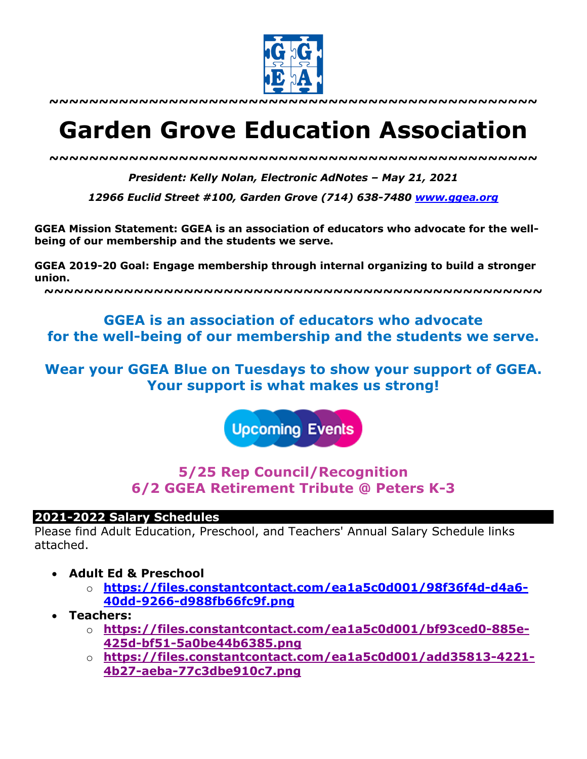

**~~~~~~~~~~~~~~~~~~~~~~~~~~~~~~~~~~~~~~~~~~~~~~~~~**

# **Garden Grove Education Association**

*~~~~~~~~~~~~~~~~~~~~~~~~~~~~~~~~~~~~~~~~~~~~~~~~~*

*President: Kelly Nolan, Electronic AdNotes – May 21, 2021*

*12966 Euclid Street #100, Garden Grove (714) 638-7480 www.ggea.org*

**GGEA Mission Statement: GGEA is an association of educators who advocate for the wellbeing of our membership and the students we serve.** 

**GGEA 2019-20 Goal: Engage membership through internal organizing to build a stronger union.**

**~~~~~~~~~~~~~~~~~~~~~~~~~~~~~~~~~~~~~~~~~~~~~~~~~~**

# **GGEA is an association of educators who advocate for the well-being of our membership and the students we serve.**

**Wear your GGEA Blue on Tuesdays to show your support of GGEA. Your support is what makes us strong!**

**Upcoming Events** 

# **5/25 Rep Council/Recognition 6/2 GGEA Retirement Tribute @ Peters K-3**

#### **2021-2022 Salary Schedules**

Please find Adult Education, Preschool, and Teachers' Annual Salary Schedule links attached.

- **Adult Ed & Preschool**
	- o **https://files.constantcontact.com/ea1a5c0d001/98f36f4d-d4a6- 40dd-9266-d988fb66fc9f.png**
- **Teachers:**
	- o **https://files.constantcontact.com/ea1a5c0d001/bf93ced0-885e-425d-bf51-5a0be44b6385.png**
	- o **https://files.constantcontact.com/ea1a5c0d001/add35813-4221- 4b27-aeba-77c3dbe910c7.png**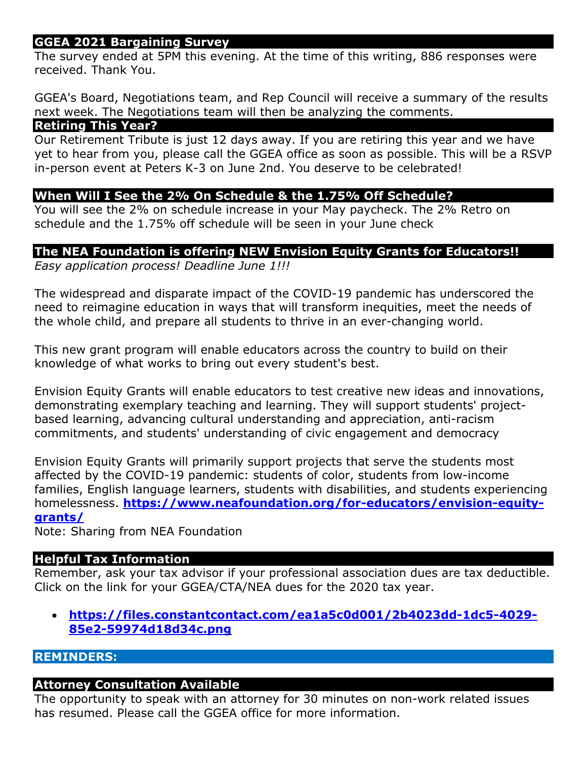## **GGEA 2021 Bargaining Survey**

The survey ended at 5PM this evening. At the time of this writing, 886 responses were received. Thank You.

GGEA's Board, Negotiations team, and Rep Council will receive a summary of the results next week. The Negotiations team will then be analyzing the comments.

#### **Retiring This Year?**

Our Retirement Tribute is just 12 days away. If you are retiring this year and we have yet to hear from you, please call the GGEA office as soon as possible. This will be a RSVP in-person event at Peters K-3 on June 2nd. You deserve to be celebrated!

#### **When Will I See the 2% On Schedule & the 1.75% Off Schedule?**

You will see the 2% on schedule increase in your May paycheck. The 2% Retro on schedule and the 1.75% off schedule will be seen in your June check

#### **The NEA Foundation is offering NEW Envision Equity Grants for Educators!!**

*Easy application process! Deadline June 1!!!*

The widespread and disparate impact of the COVID-19 pandemic has underscored the need to reimagine education in ways that will transform inequities, meet the needs of the whole child, and prepare all students to thrive in an ever-changing world.

This new grant program will enable educators across the country to build on their knowledge of what works to bring out every student's best.

Envision Equity Grants will enable educators to test creative new ideas and innovations, demonstrating exemplary teaching and learning. They will support students' projectbased learning, advancing cultural understanding and appreciation, anti-racism commitments, and students' understanding of civic engagement and democracy

Envision Equity Grants will primarily support projects that serve the students most affected by the COVID-19 pandemic: students of color, students from low-income families, English language learners, students with disabilities, and students experiencing homelessness. **https://www.neafoundation.org/for-educators/envision-equitygrants/**

Note: Sharing from NEA Foundation

#### **Helpful Tax Information**

Remember, ask your tax advisor if your professional association dues are tax deductible. Click on the link for your GGEA/CTA/NEA dues for the 2020 tax year.

• **https://files.constantcontact.com/ea1a5c0d001/2b4023dd-1dc5-4029- 85e2-59974d18d34c.png**

#### **REMINDERS:**

#### **Attorney Consultation Available**

The opportunity to speak with an attorney for 30 minutes on non-work related issues has resumed. Please call the GGEA office for more information.